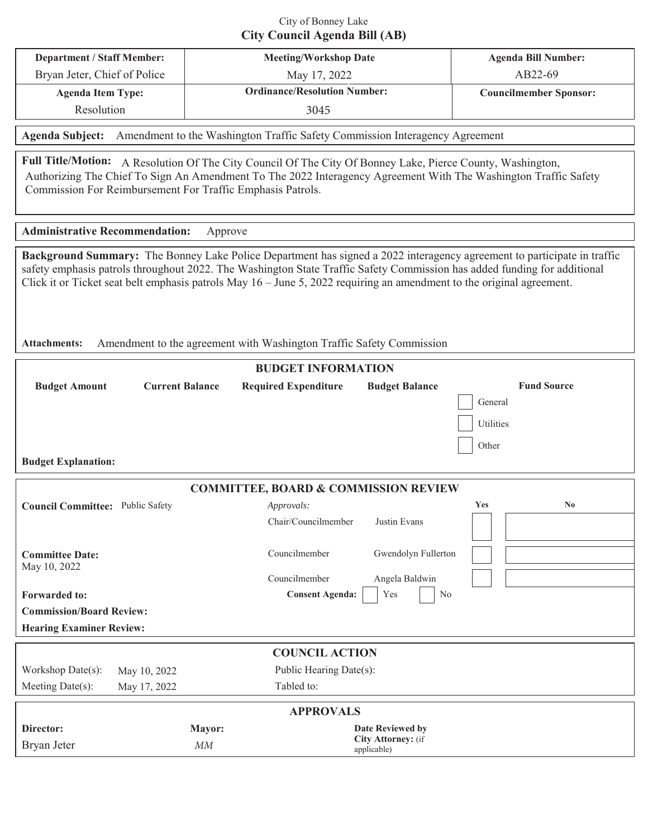# City of Bonney Lake **City Council Agenda Bill (AB)**

| <b>Department / Staff Member:</b> | <b>Meeting/Workshop Date</b>        | <b>Agenda Bill Number:</b>    |  |  |
|-----------------------------------|-------------------------------------|-------------------------------|--|--|
| Bryan Jeter, Chief of Police      | May 17, 2022                        | AB22-69                       |  |  |
| <b>Agenda Item Type:</b>          | <b>Ordinance/Resolution Number:</b> | <b>Councilmember Sponsor:</b> |  |  |
| Resolution                        | 3045                                |                               |  |  |

**Agenda Subject:** Amendment to the Washington Traffic Safety Commission Interagency Agreement

Full Title/Motion: A Resolution Of The City Council Of The City Of Bonney Lake, Pierce County, Washington, Authorizing The Chief To Sign An Amendment To The 2022 Interagency Agreement With The Washington Traffic Safety Commission For Reimbursement For Traffic Emphasis Patrols.

#### **Administrative Recommendation:** Approve

**Background Summary:** The Bonney Lake Police Department has signed a 2022 interagency agreement to participate in traffic safety emphasis patrols throughout 2022. The Washington State Traffic Safety Commission has added funding for additional Click it or Ticket seat belt emphasis patrols May 16 – June 5, 2022 requiring an amendment to the original agreement.

**Attachments:** Amendment to the agreement with Washington Traffic Safety Commission

| <b>BUDGET INFORMATION</b>                       |                        |        |                             |                                   |           |                        |  |  |  |
|-------------------------------------------------|------------------------|--------|-----------------------------|-----------------------------------|-----------|------------------------|--|--|--|
| <b>Budget Amount</b>                            | <b>Current Balance</b> |        | <b>Required Expenditure</b> | <b>Budget Balance</b>             |           | <b>Fund Source</b>     |  |  |  |
|                                                 |                        |        |                             |                                   | General   |                        |  |  |  |
|                                                 |                        |        |                             |                                   | Utilities |                        |  |  |  |
|                                                 |                        |        |                             |                                   |           |                        |  |  |  |
|                                                 |                        |        |                             |                                   | Other     |                        |  |  |  |
| <b>Budget Explanation:</b>                      |                        |        |                             |                                   |           |                        |  |  |  |
| <b>COMMITTEE, BOARD &amp; COMMISSION REVIEW</b> |                        |        |                             |                                   |           |                        |  |  |  |
| <b>Council Committee:</b> Public Safety         |                        |        | Approvals:                  |                                   | Yes       | $\mathbf{N}\mathbf{0}$ |  |  |  |
|                                                 |                        |        | Chair/Councilmember         | Justin Evans                      |           |                        |  |  |  |
|                                                 |                        |        |                             |                                   |           |                        |  |  |  |
| <b>Committee Date:</b>                          |                        |        | Councilmember               | Gwendolyn Fullerton               |           |                        |  |  |  |
| May 10, 2022                                    |                        |        |                             |                                   |           |                        |  |  |  |
|                                                 |                        |        | Councilmember               | Angela Baldwin                    |           |                        |  |  |  |
| <b>Forwarded to:</b>                            |                        |        | <b>Consent Agenda:</b>      | Yes<br>No                         |           |                        |  |  |  |
| <b>Commission/Board Review:</b>                 |                        |        |                             |                                   |           |                        |  |  |  |
| <b>Hearing Examiner Review:</b>                 |                        |        |                             |                                   |           |                        |  |  |  |
| <b>COUNCIL ACTION</b>                           |                        |        |                             |                                   |           |                        |  |  |  |
| Workshop Date(s):                               | May 10, 2022           |        | Public Hearing Date(s):     |                                   |           |                        |  |  |  |
| Meeting Date(s):                                | May 17, 2022           |        | Tabled to:                  |                                   |           |                        |  |  |  |
| <b>APPROVALS</b>                                |                        |        |                             |                                   |           |                        |  |  |  |
| Director:                                       |                        | Mayor: |                             | <b>Date Reviewed by</b>           |           |                        |  |  |  |
| Bryan Jeter                                     |                        | MM     |                             | City Attorney: (if<br>applicable) |           |                        |  |  |  |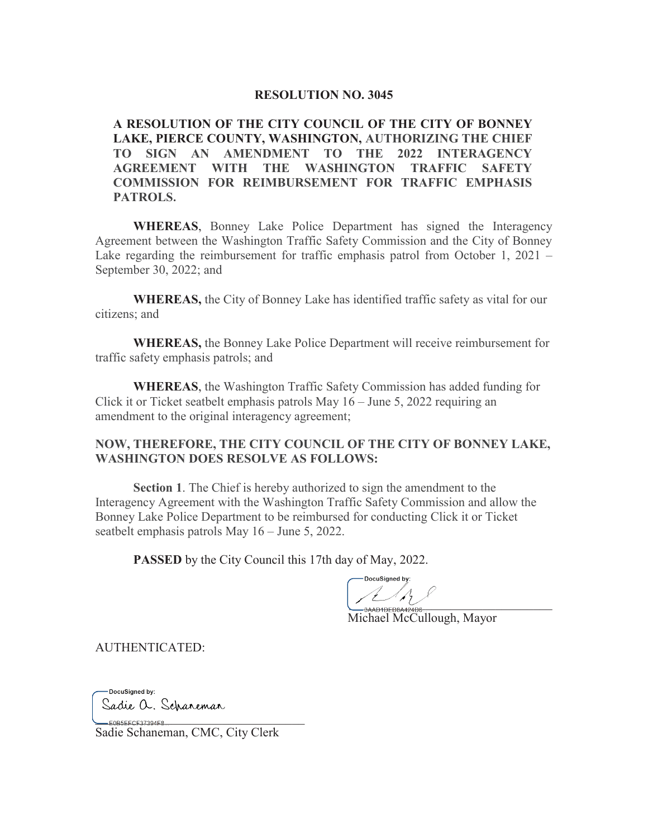#### **RESOLUTION NO. 3045**

**A RESOLUTION OF THE CITY COUNCIL OF THE CITY OF BONNEY LAKE, PIERCE COUNTY, WASHINGTON, AUTHORIZING THE CHIEF TO SIGN AN AMENDMENT TO THE 2022 INTERAGENCY AGREEMENT WITH THE WASHINGTON TRAFFIC SAFETY COMMISSION FOR REIMBURSEMENT FOR TRAFFIC EMPHASIS PATROLS.**

**WHEREAS**, Bonney Lake Police Department has signed the Interagency Agreement between the Washington Traffic Safety Commission and the City of Bonney Lake regarding the reimbursement for traffic emphasis patrol from October 1, 2021 – September 30, 2022; and

**WHEREAS,** the City of Bonney Lake has identified traffic safety as vital for our citizens; and

**WHEREAS,** the Bonney Lake Police Department will receive reimbursement for traffic safety emphasis patrols; and

**WHEREAS**, the Washington Traffic Safety Commission has added funding for Click it or Ticket seatbelt emphasis patrols May 16 – June 5, 2022 requiring an amendment to the original interagency agreement;

# **NOW, THEREFORE, THE CITY COUNCIL OF THE CITY OF BONNEY LAKE, WASHINGTON DOES RESOLVE AS FOLLOWS:**

**Section 1**. The Chief is hereby authorized to sign the amendment to the Interagency Agreement with the Washington Traffic Safety Commission and allow the Bonney Lake Police Department to be reimbursed for conducting Click it or Ticket seatbelt emphasis patrols May 16 – June 5, 2022.

**PASSED** by the City Council this 17th day of May, 2022.

AAD1DED8A424D6

Michael McCullough, Mayor

AUTHENTICATED:

- DocuSianed by: Sadie a. Scharemar \_\_\_\_\_\_\_\_\_\_\_\_\_\_\_\_\_\_\_\_\_\_\_\_\_\_\_\_\_\_\_\_\_

Sadie Schaneman, CMC, City Clerk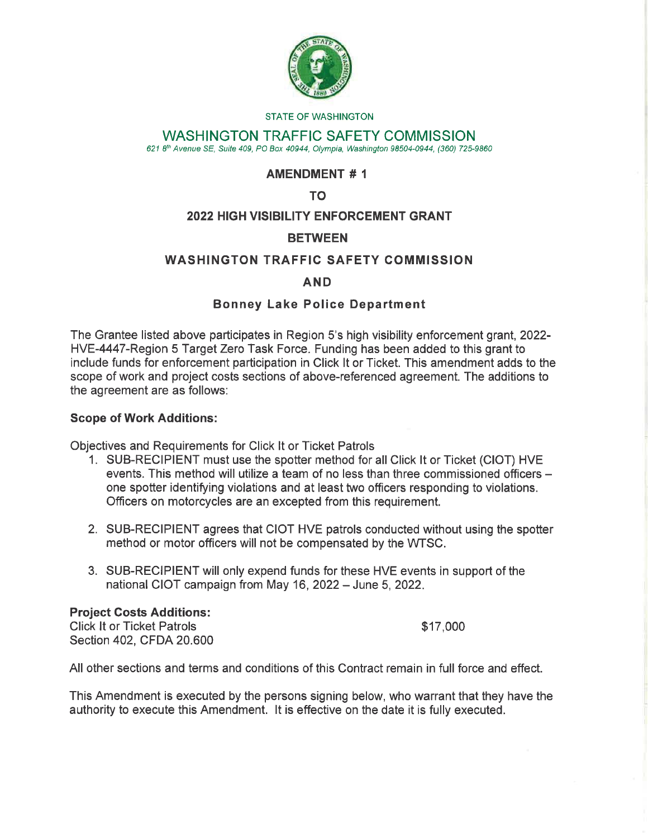

#### **STATE OF WASHINGTON**

# **WASHINGTON TRAFFIC SAFETY COMMISSION**

621 8th Avenue SE, Suite 409, PO Box 40944, Olympia, Washington 98504-0944, (360) 725-9860

# **AMENDMENT #1**

TO.

# **2022 HIGH VISIBILITY ENFORCEMENT GRANT**

# **BETWEEN**

# **WASHINGTON TRAFFIC SAFETY COMMISSION**

### **AND**

# **Bonney Lake Police Department**

The Grantee listed above participates in Region 5's high visibility enforcement grant, 2022-HVE-4447-Region 5 Target Zero Task Force. Funding has been added to this grant to include funds for enforcement participation in Click It or Ticket. This amendment adds to the scope of work and project costs sections of above-referenced agreement. The additions to the agreement are as follows:

### **Scope of Work Additions:**

Objectives and Requirements for Click It or Ticket Patrols

- 1. SUB-RECIPIENT must use the spotter method for all Click It or Ticket (CIOT) HVE events. This method will utilize a team of no less than three commissioned officers one spotter identifying violations and at least two officers responding to violations. Officers on motorcycles are an excepted from this requirement.
- 2. SUB-RECIPIENT agrees that CIOT HVE patrols conducted without using the spotter method or motor officers will not be compensated by the WTSC.
- 3. SUB-RECIPIENT will only expend funds for these HVE events in support of the national CIOT campaign from May 16, 2022 - June 5, 2022.

#### **Project Costs Additions:**

**Click It or Ticket Patrols** Section 402, CFDA 20.600

\$17,000

All other sections and terms and conditions of this Contract remain in full force and effect.

This Amendment is executed by the persons signing below, who warrant that they have the authority to execute this Amendment. It is effective on the date it is fully executed.